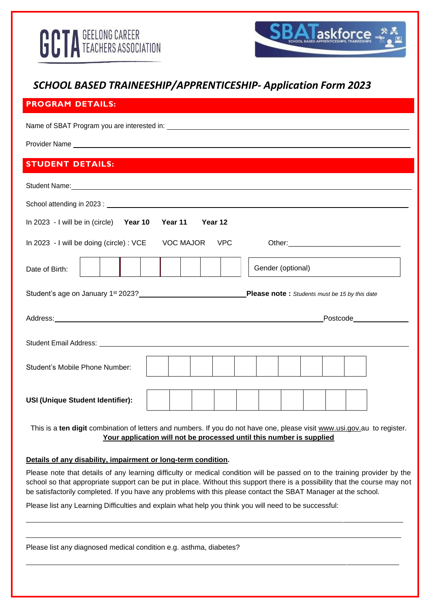

# *SCHOOL BASED TRAINEESHIP/APPRENTICESHIP- Application Form 2023*

# **PROGRAM DETAILS:**

Name of SBAT Program you are interested in:

Provider Name

# **STUDENT DETAILS:**

| School attending in 2023: Lease and the set of the set of the set of the set of the set of the set of the set of the set of the set of the set of the set of the set of the set of the set of the set of the set of the set of       |                    |                                  |  |
|--------------------------------------------------------------------------------------------------------------------------------------------------------------------------------------------------------------------------------------|--------------------|----------------------------------|--|
| In 2023 - I will be in (circle) Year 10                                                                                                                                                                                              | Year 11<br>Year 12 |                                  |  |
| In 2023 - I will be doing (circle) : VCE VOC MAJOR VPC                                                                                                                                                                               |                    |                                  |  |
| Date of Birth:                                                                                                                                                                                                                       |                    | Gender (optional)                |  |
|                                                                                                                                                                                                                                      |                    |                                  |  |
| Address: <u>Address: Address: Address: Address: Address: Address: Address: Address: Address: Address: Address: Address: Address: Address: Address: Address: Address: Address: Address: Address: Address: Address: Address: Addre</u> |                    | Postcode <b>Exercise Service</b> |  |
|                                                                                                                                                                                                                                      |                    |                                  |  |
| Student's Mobile Phone Number:                                                                                                                                                                                                       |                    |                                  |  |
| USI (Unique Student Identifier):                                                                                                                                                                                                     |                    |                                  |  |

This is a **ten digit** combination of letters and numbers. If you do not have one, please visit [www.usi.gov.au](http://www.usi.gov/) to register. **Your application will not be processed until this number is supplied**

#### **Details of any disability, impairment or long-term condition.**

Please note that details of any learning difficulty or medical condition will be passed on to the training provider by the school so that appropriate support can be put in place. Without this support there is a possibility that the course may not be satisfactorily completed. If you have any problems with this please contact the SBAT Manager at the school.

Please list any Learning Difficulties and explain what help you think you will need to be successful:

| Please list any diagnosed medical condition e.g. asthma, diabetes? |  |
|--------------------------------------------------------------------|--|
|                                                                    |  |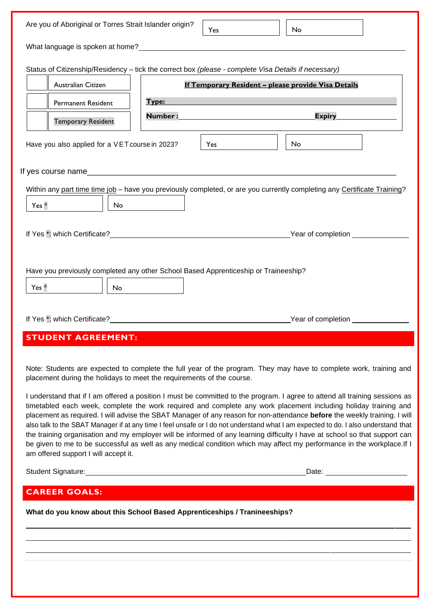| Are you of Aboriginal or Torres Strait Islander origin?                                                                                                                                                                                                                                                                                                                                                                                                                                                                                                                                                                                                                                                                                                                                                                                                                                                                                                                   |                | <b>Yes</b> | No.                                                         |  |
|---------------------------------------------------------------------------------------------------------------------------------------------------------------------------------------------------------------------------------------------------------------------------------------------------------------------------------------------------------------------------------------------------------------------------------------------------------------------------------------------------------------------------------------------------------------------------------------------------------------------------------------------------------------------------------------------------------------------------------------------------------------------------------------------------------------------------------------------------------------------------------------------------------------------------------------------------------------------------|----------------|------------|-------------------------------------------------------------|--|
|                                                                                                                                                                                                                                                                                                                                                                                                                                                                                                                                                                                                                                                                                                                                                                                                                                                                                                                                                                           |                |            |                                                             |  |
| Status of Citizenship/Residency - tick the correct box (please - complete Visa Details if necessary)                                                                                                                                                                                                                                                                                                                                                                                                                                                                                                                                                                                                                                                                                                                                                                                                                                                                      |                |            |                                                             |  |
| Australian Citizen                                                                                                                                                                                                                                                                                                                                                                                                                                                                                                                                                                                                                                                                                                                                                                                                                                                                                                                                                        |                |            | <u> If Temporary Resident - please provide Visa Details</u> |  |
| <b>Permanent Resident</b>                                                                                                                                                                                                                                                                                                                                                                                                                                                                                                                                                                                                                                                                                                                                                                                                                                                                                                                                                 | Type:          |            |                                                             |  |
| <b>Temporary Resident</b>                                                                                                                                                                                                                                                                                                                                                                                                                                                                                                                                                                                                                                                                                                                                                                                                                                                                                                                                                 | <b>Number:</b> |            | <b>Expiry</b>                                               |  |
| Have you also applied for a VET course in 2023?                                                                                                                                                                                                                                                                                                                                                                                                                                                                                                                                                                                                                                                                                                                                                                                                                                                                                                                           |                | Yes.       | No                                                          |  |
|                                                                                                                                                                                                                                                                                                                                                                                                                                                                                                                                                                                                                                                                                                                                                                                                                                                                                                                                                                           |                |            |                                                             |  |
| Within any part time time job – have you previously completed, or are you currently completing any Certificate Training?<br>Yes *<br>No.                                                                                                                                                                                                                                                                                                                                                                                                                                                                                                                                                                                                                                                                                                                                                                                                                                  |                |            |                                                             |  |
| If Yes <sup>*</sup> : which Certificate?                                                                                                                                                                                                                                                                                                                                                                                                                                                                                                                                                                                                                                                                                                                                                                                                                                                                                                                                  |                |            |                                                             |  |
| Have you previously completed any other School Based Apprenticeship or Traineeship?<br>Yes *<br>No<br>If Yes *: which Certificate?                                                                                                                                                                                                                                                                                                                                                                                                                                                                                                                                                                                                                                                                                                                                                                                                                                        |                |            |                                                             |  |
| <b>STUDENT AGREEMENT:</b>                                                                                                                                                                                                                                                                                                                                                                                                                                                                                                                                                                                                                                                                                                                                                                                                                                                                                                                                                 |                |            |                                                             |  |
| Note: Students are expected to complete the full year of the program. They may have to complete work, training and<br>placement during the holidays to meet the requirements of the course.<br>I understand that if I am offered a position I must be committed to the program. I agree to attend all training sessions as<br>timetabled each week, complete the work required and complete any work placement including holiday training and<br>placement as required. I will advise the SBAT Manager of any reason for non-attendance before the weekly training. I will<br>also talk to the SBAT Manager if at any time I feel unsafe or I do not understand what I am expected to do. I also understand that<br>the training organisation and my employer will be informed of any learning difficulty I have at school so that support can<br>be given to me to be successful as well as any medical condition which may affect my performance in the workplace. If I |                |            |                                                             |  |
| am offered support I will accept it.                                                                                                                                                                                                                                                                                                                                                                                                                                                                                                                                                                                                                                                                                                                                                                                                                                                                                                                                      |                |            |                                                             |  |
|                                                                                                                                                                                                                                                                                                                                                                                                                                                                                                                                                                                                                                                                                                                                                                                                                                                                                                                                                                           |                |            |                                                             |  |
| <b>CAREER GOALS:</b>                                                                                                                                                                                                                                                                                                                                                                                                                                                                                                                                                                                                                                                                                                                                                                                                                                                                                                                                                      |                |            |                                                             |  |
| What do you know about this School Based Apprenticeships / Tranineeships?                                                                                                                                                                                                                                                                                                                                                                                                                                                                                                                                                                                                                                                                                                                                                                                                                                                                                                 |                |            |                                                             |  |
|                                                                                                                                                                                                                                                                                                                                                                                                                                                                                                                                                                                                                                                                                                                                                                                                                                                                                                                                                                           |                |            |                                                             |  |
|                                                                                                                                                                                                                                                                                                                                                                                                                                                                                                                                                                                                                                                                                                                                                                                                                                                                                                                                                                           |                |            |                                                             |  |
|                                                                                                                                                                                                                                                                                                                                                                                                                                                                                                                                                                                                                                                                                                                                                                                                                                                                                                                                                                           |                |            |                                                             |  |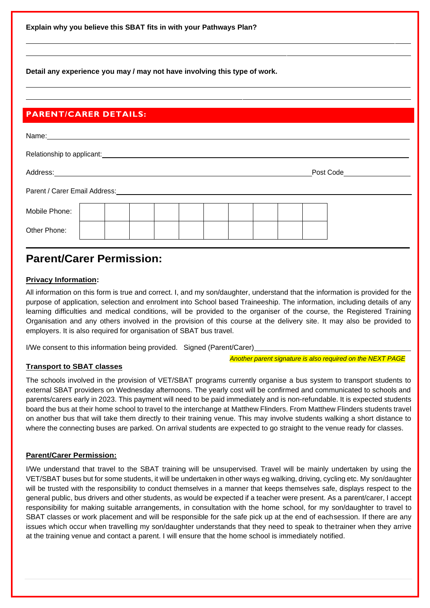**Explain why you believe this SBAT fits in with your Pathways Plan?**

**Detail any experience you may / may not have involving this type of work.**

## **PARENT/CARER DETAILS:**

| Name:                                    |  |  |  |  |  |           |  |
|------------------------------------------|--|--|--|--|--|-----------|--|
| Relationship to applicant: _____________ |  |  |  |  |  |           |  |
| Address:                                 |  |  |  |  |  | Post Code |  |
| Parent / Carer Email Address: __________ |  |  |  |  |  |           |  |
| Mobile Phone:                            |  |  |  |  |  |           |  |
| Other Phone:                             |  |  |  |  |  |           |  |

# **Parent/Carer Permission:**

#### **Privacy Information:**

All information on this form is true and correct. I, and my son/daughter, understand that the information is provided for the purpose of application, selection and enrolment into School based Traineeship. The information, including details of any learning difficulties and medical conditions, will be provided to the organiser of the course, the Registered Training Organisation and any others involved in the provision of this course at the delivery site. It may also be provided to employers. It is also required for organisation of SBAT bus travel.

I/We consent to this information being provided. Signed (Parent/Carer)

*Another parent signature is also required on the NEXT PAGE*

### **Transport to SBAT classes**

The schools involved in the provision of VET/SBAT programs currently organise a bus system to transport students to external SBAT providers on Wednesday afternoons. The yearly cost will be confirmed and communicated to schools and parents/carers early in 2023. This payment will need to be paid immediately and is non-refundable. It is expected students board the bus at their home school to travel to the interchange at Matthew Flinders. From Matthew Flinders students travel on another bus that will take them directly to their training venue. This may involve students walking a short distance to where the connecting buses are parked. On arrival students are expected to go straight to the venue ready for classes.

#### **Parent/Carer Permission:**

I/We understand that travel to the SBAT training will be unsupervised. Travel will be mainly undertaken by using the VET/SBAT buses but for some students, it will be undertaken in other ways eg walking, driving, cycling etc. My son/daughter will be trusted with the responsibility to conduct themselves in a manner that keeps themselves safe, displays respect to the general public, bus drivers and other students, as would be expected if a teacher were present. As a parent/carer, I accept responsibility for making suitable arrangements, in consultation with the home school, for my son/daughter to travel to SBAT classes or work placement and will be responsible for the safe pick up at the end of eachsession. If there are any issues which occur when travelling my son/daughter understands that they need to speak to thetrainer when they arrive at the training venue and contact a parent. I will ensure that the home school is immediately notified.